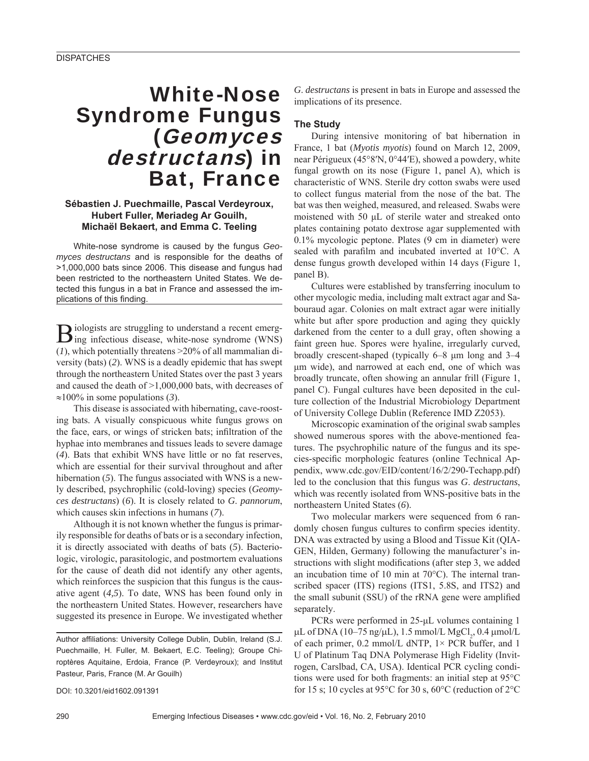# White-Nose Syndrome Fungus (Geomyces destructans) in Bat, France

#### **Sébastien J. Puechmaille, Pascal Verdeyroux, Hubert Fuller, Meriadeg Ar Gouilh, Michaël Bekaert, and Emma C. Teeling**

White-nose syndrome is caused by the fungus *Geomyces destructans* and is responsible for the deaths of >1,000,000 bats since 2006. This disease and fungus had been restricted to the northeastern United States. We detected this fungus in a bat in France and assessed the implications of this finding.

Biologists are struggling to understand a recent emerg-ing infectious disease, white-nose syndrome (WNS) (*1*), which potentially threatens >20% of all mammalian diversity (bats) (*2*). WNS is a deadly epidemic that has swept through the northeastern United States over the past 3 years and caused the death of >1,000,000 bats, with decreases of ≈100% in some populations (*3*).

This disease is associated with hibernating, cave-roosting bats. A visually conspicuous white fungus grows on the face, ears, or wings of stricken bats; infiltration of the hyphae into membranes and tissues leads to severe damage (*4*). Bats that exhibit WNS have little or no fat reserves, which are essential for their survival throughout and after hibernation (5). The fungus associated with WNS is a newly described, psychrophilic (cold-loving) species (*Geomyces destructans*) (*6*). It is closely related to *G*. *pannorum*, which causes skin infections in humans (*7*).

Although it is not known whether the fungus is primarily responsible for deaths of bats or is a secondary infection, it is directly associated with deaths of bats (*5*). Bacteriologic, virologic, parasitologic, and postmortem evaluations for the cause of death did not identify any other agents, which reinforces the suspicion that this fungus is the causative agent (*4,5*). To date, WNS has been found only in the northeastern United States. However, researchers have suggested its presence in Europe. We investigated whether

Author affiliations: University College Dublin, Dublin, Ireland (S.J. Puechmaille, H. Fuller, M. Bekaert, E.C. Teeling); Groupe Chiroptères Aquitaine, Erdoia, France (P. Verdeyroux); and Institut Pasteur, Paris, France (M. Ar Gouilh)

DOI: 10.3201/eid1602.091391

*G*. *destructans* is present in bats in Europe and assessed the implications of its presence.

### **The Study**

During intensive monitoring of bat hibernation in France, 1 bat (*Myotis myotis*) found on March 12, 2009, near Périgueux (45°8′N, 0°44′E), showed a powdery, white fungal growth on its nose (Figure 1, panel A), which is characteristic of WNS. Sterile dry cotton swabs were used to collect fungus material from the nose of the bat. The bat was then weighed, measured, and released. Swabs were moistened with 50 μL of sterile water and streaked onto plates containing potato dextrose agar supplemented with 0.1% mycologic peptone. Plates (9 cm in diameter) were sealed with parafilm and incubated inverted at  $10^{\circ}$ C. A dense fungus growth developed within 14 days (Figure 1, panel B).

Cultures were established by transferring inoculum to other mycologic media, including malt extract agar and Sabouraud agar. Colonies on malt extract agar were initially white but after spore production and aging they quickly darkened from the center to a dull gray, often showing a faint green hue. Spores were hyaline, irregularly curved, broadly crescent-shaped (typically 6–8 μm long and 3–4 μm wide), and narrowed at each end, one of which was broadly truncate, often showing an annular frill (Figure 1, panel C). Fungal cultures have been deposited in the culture collection of the Industrial Microbiology Department of University College Dublin (Reference IMD Z2053).

Microscopic examination of the original swab samples showed numerous spores with the above-mentioned features. The psychrophilic nature of the fungus and its species-specific morphologic features (online Technical Appendix, www.cdc.gov/EID/content/16/2/290-Techapp.pdf) led to the conclusion that this fungus was *G*. *destructans*, which was recently isolated from WNS-positive bats in the northeastern United States (*6*).

Two molecular markers were sequenced from 6 randomly chosen fungus cultures to confirm species identity. DNA was extracted by using a Blood and Tissue Kit (QIA-GEN, Hilden, Germany) following the manufacturer's instructions with slight modifications (after step 3, we added an incubation time of 10 min at 70°C). The internal transcribed spacer (ITS) regions (ITS1, 5.8S, and ITS2) and the small subunit (SSU) of the rRNA gene were amplified separately.

PCRs were performed in 25-μL volumes containing 1 μL of DNA (10–75 ng/μL), 1.5 mmol/L MgCl<sub>2</sub>, 0.4 μmol/L of each primer, 0.2 mmol/L dNTP, 1× PCR buffer, and 1 U of Platinum Taq DNA Polymerase High Fidelity (Invitrogen, Carslbad, CA, USA). Identical PCR cycling conditions were used for both fragments: an initial step at 95°C for 15 s; 10 cycles at 95 $\degree$ C for 30 s, 60 $\degree$ C (reduction of 2 $\degree$ C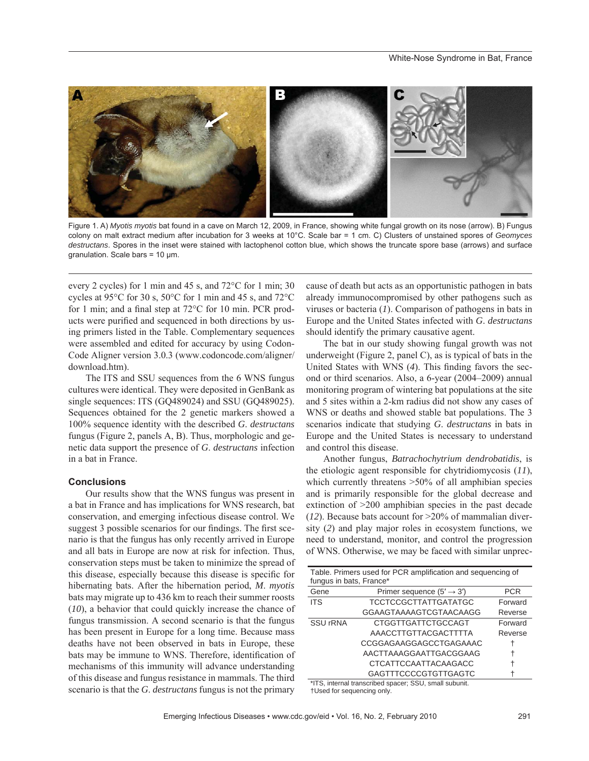

Figure 1. A) *Myotis myotis* bat found in a cave on March 12, 2009, in France, showing white fungal growth on its nose (arrow). B) Fungus colony on malt extract medium after incubation for 3 weeks at 10°C. Scale bar = 1 cm. C) Clusters of unstained spores of *Geomyces destructans*. Spores in the inset were stained with lactophenol cotton blue, which shows the truncate spore base (arrows) and surface granulation. Scale bars = 10 μm.

every 2 cycles) for 1 min and 45 s, and 72°C for 1 min; 30 cycles at 95°C for 30 s, 50°C for 1 min and 45 s, and 72°C for 1 min; and a final step at  $72^{\circ}$ C for 10 min. PCR products were purified and sequenced in both directions by using primers listed in the Table. Complementary sequences were assembled and edited for accuracy by using Codon-Code Aligner version 3.0.3 (www.codoncode.com/aligner/ download.htm).

The ITS and SSU sequences from the 6 WNS fungus cultures were identical. They were deposited in GenBank as single sequences: ITS (GQ489024) and SSU (GQ489025). Sequences obtained for the 2 genetic markers showed a 100% sequence identity with the described *G*. *destructans* fungus (Figure 2, panels A, B). Thus, morphologic and genetic data support the presence of *G*. *destructans* infection in a bat in France.

#### **Conclusions**

Our results show that the WNS fungus was present in a bat in France and has implications for WNS research, bat conservation, and emerging infectious disease control. We suggest 3 possible scenarios for our findings. The first scenario is that the fungus has only recently arrived in Europe and all bats in Europe are now at risk for infection. Thus, conservation steps must be taken to minimize the spread of this disease, especially because this disease is specific for hibernating bats. After the hibernation period, *M*. *myotis* bats may migrate up to 436 km to reach their summer roosts (*10*), a behavior that could quickly increase the chance of fungus transmission. A second scenario is that the fungus has been present in Europe for a long time. Because mass deaths have not been observed in bats in Europe, these bats may be immune to WNS. Therefore, identification of mechanisms of this immunity will advance understanding of this disease and fungus resistance in mammals. The third scenario is that the *G*. *destructans* fungus is not the primary

cause of death but acts as an opportunistic pathogen in bats already immunocompromised by other pathogens such as viruses or bacteria (*1*). Comparison of pathogens in bats in Europe and the United States infected with *G*. *destructans* should identify the primary causative agent.

The bat in our study showing fungal growth was not underweight (Figure 2, panel C), as is typical of bats in the United States with WNS (4). This finding favors the second or third scenarios. Also, a 6-year (2004–2009) annual monitoring program of wintering bat populations at the site and 5 sites within a 2-km radius did not show any cases of WNS or deaths and showed stable bat populations. The 3 scenarios indicate that studying *G*. *destructans* in bats in Europe and the United States is necessary to understand and control this disease.

Another fungus, *Batrachochytrium dendrobatidis*, is the etiologic agent responsible for chytridiomycosis (*11*), which currently threatens  $>50\%$  of all amphibian species and is primarily responsible for the global decrease and extinction of >200 amphibian species in the past decade (*12*). Because bats account for >20% of mammalian diversity (*2*) and play major roles in ecosystem functions, we need to understand, monitor, and control the progression of WNS. Otherwise, we may be faced with similar unprec-

| Table. Primers used for PCR amplification and sequencing of |                                       |         |
|-------------------------------------------------------------|---------------------------------------|---------|
| fungus in bats, France*                                     |                                       |         |
| Gene                                                        | Primer sequence $(5' \rightarrow 3')$ | PCR     |
| <b>ITS</b>                                                  | <b>TCCTCCGCTTATTGATATGC</b>           | Forward |
|                                                             | GGAAGTAAAAGTCGTAACAAGG                | Reverse |
| <b>SSU rRNA</b>                                             | <b>CTGGTTGATTCTGCCAGT</b>             | Forward |
|                                                             | AAACCTTGTTACGACTTTTA                  | Reverse |
|                                                             | CCGGAGAAGGAGCCTGAGAAAC                |         |
|                                                             | AACTTAAAGGAATTGACGGAAG                |         |
|                                                             | <b>CTCATTCCAATTACAAGACC</b>           |         |
|                                                             | <b>GAGTTTCCCCGTGTTGAGTC</b>           |         |

\*ITS, internal transcribed spacer; SSU, small subunit. †Used for sequencing only.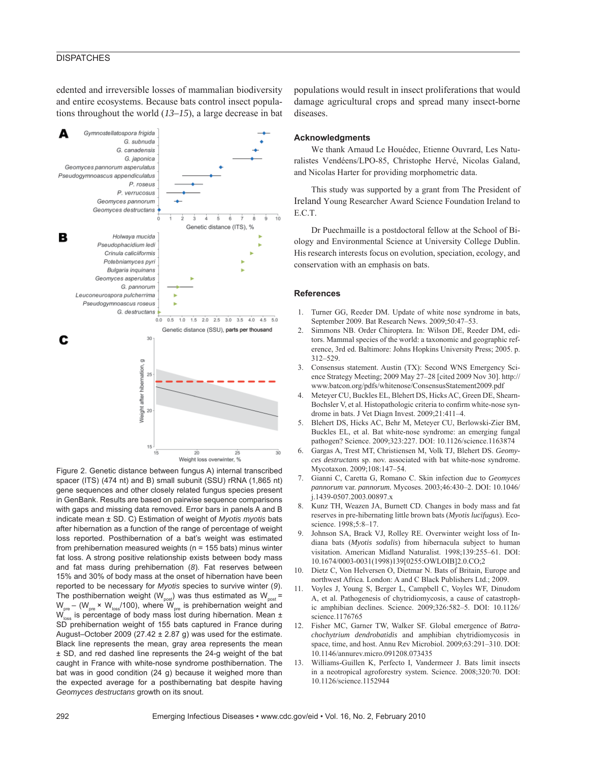#### **DISPATCHES**

edented and irreversible losses of mammalian biodiversity and entire ecosystems. Because bats control insect populations throughout the world (*13–15*), a large decrease in bat



Figure 2. Genetic distance between fungus A) internal transcribed spacer (ITS) (474 nt) and B) small subunit (SSU) rRNA (1,865 nt) gene sequences and other closely related fungus species present in GenBank. Results are based on pairwise sequence comparisons with gaps and missing data removed. Error bars in panels A and B indicate mean ± SD. C) Estimation of weight of *Myotis myotis* bats after hibernation as a function of the range of percentage of weight loss reported. Posthibernation of a bat's weight was estimated from prehibernation measured weights (n = 155 bats) minus winter fat loss. A strong positive relationship exists between body mass and fat mass during prehibernation (*8*). Fat reserves between 15% and 30% of body mass at the onset of hibernation have been reported to be necessary for *Myotis* species to survive winter (*9*). The posthibernation weight ( $W_{post}$ ) was thus estimated as  $W_{post}$  =  $W_{\text{pre}}$  – ( $W_{\text{pre}} \times W_{\text{loss}}$ /100), where  $W_{\text{pre}}$  is prehibernation weight and  $W_{\text{loss}}$  is percentage of body mass lost during hibernation. Mean  $\pm$ SD prehibernation weight of 155 bats captured in France during August–October 2009 (27.42  $\pm$  2.87 g) was used for the estimate. Black line represents the mean, gray area represents the mean ± SD, and red dashed line represents the 24-g weight of the bat caught in France with white-nose syndrome posthibernation. The bat was in good condition (24 g) because it weighed more than the expected average for a posthibernating bat despite having *Geomyces destructans* growth on its snout.

populations would result in insect proliferations that would damage agricultural crops and spread many insect-borne diseases.

#### **Acknowledgments**

We thank Arnaud Le Houédec, Etienne Ouvrard, Les Naturalistes Vendéens/LPO-85, Christophe Hervé, Nicolas Galand, and Nicolas Harter for providing morphometric data.

This study was supported by a grant from The President of Ireland Young Researcher Award Science Foundation Ireland to E.C.T.

Dr Puechmaille is a postdoctoral fellow at the School of Biology and Environmental Science at University College Dublin. His research interests focus on evolution, speciation, ecology, and conservation with an emphasis on bats.

#### **References**

- 1. Turner GG, Reeder DM. Update of white nose syndrome in bats, September 2009. Bat Research News. 2009;50:47–53.
- 2. Simmons NB. Order Chiroptera. In: Wilson DE, Reeder DM, editors. Mammal species of the world: a taxonomic and geographic reference, 3rd ed. Baltimore: Johns Hopkins University Press; 2005. p. 312–529.
- 3. Consensus statement. Austin (TX): Second WNS Emergency Science Strategy Meeting; 2009 May 27–28 [cited 2009 Nov 30]. http:// www.batcon.org/pdfs/whitenose/ConsensusStatement2009.pdf
- 4. Meteyer CU, Buckles EL, Blehert DS, Hicks AC, Green DE, Shearn-Bochsler V, et al. Histopathologic criteria to confirm white-nose syndrome in bats. J Vet Diagn Invest. 2009;21:411–4.
- 5. Blehert DS, Hicks AC, Behr M, Meteyer CU, Berlowski-Zier BM, Buckles EL, et al. Bat white-nose syndrome: an emerging fungal pathogen? Science. 2009;323:227. DOI: 10.1126/science.1163874
- 6. Gargas A, Trest MT, Christiensen M, Volk TJ, Blehert DS. *Geomyces destructans* sp. nov. associated with bat white-nose syndrome. Mycotaxon. 2009;108:147–54.
- 7. Gianni C, Caretta G, Romano C. Skin infection due to *Geomyces pannorum* var. *pannorum.* Mycoses. 2003;46:430–2. DOI: 10.1046/ j.1439-0507.2003.00897.x
- 8. Kunz TH, Weazen JA, Burnett CD. Changes in body mass and fat reserves in pre-hibernating little brown bats (*Myotis lucifugus*). Ecoscience. 1998;5:8–17.
- 9. Johnson SA, Brack VJ, Rolley RE. Overwinter weight loss of Indiana bats (*Myotis sodalis*) from hibernacula subject to human visitation. American Midland Naturalist. 1998;139:255–61. DOI: 10.1674/0003-0031(1998)139[0255:OWLOIB]2.0.CO;2
- 10. Dietz C, Von Helversen O, Dietmar N. Bats of Britain, Europe and northwest Africa. London: A and C Black Publishers Ltd.; 2009.
- 11. Voyles J, Young S, Berger L, Campbell C, Voyles WF, Dinudom A, et al. Pathogenesis of chytridiomycosis, a cause of catastrophic amphibian declines. Science. 2009;326:582–5. DOI: 10.1126/ science.1176765
- 12. Fisher MC, Garner TW, Walker SF. Global emergence of *Batrachochytrium dendrobatidis* and amphibian chytridiomycosis in space, time, and host. Annu Rev Microbiol. 2009;63:291–310. DOI: 10.1146/annurev.micro.091208.073435
- 13. Williams-Guillen K, Perfecto I, Vandermeer J. Bats limit insects in a neotropical agroforestry system. Science. 2008;320:70. DOI: 10.1126/science.1152944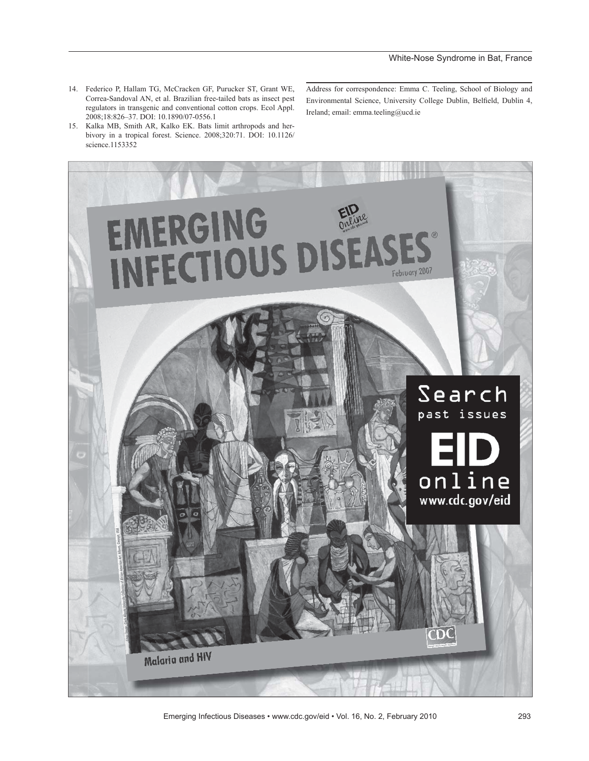- 14. Federico P, Hallam TG, McCracken GF, Purucker ST, Grant WE, Correa-Sandoval AN, et al. Brazilian free-tailed bats as insect pest regulators in transgenic and conventional cotton crops. Ecol Appl. 2008;18:826–37. DOI: 10.1890/07-0556.1
- 15. Kalka MB, Smith AR, Kalko EK. Bats limit arthropods and herbivory in a tropical forest. Science. 2008;320:71. DOI: 10.1126/ science.1153352

Address for correspondence: Emma C. Teeling, School of Biology and Environmental Science, University College Dublin, Belfield, Dublin 4, Ireland; email: emma.teeling@ucd.ie



Emerging Infectious Diseases • www.cdc.gov/eid • Vol. 16, No. 2, February 2010 293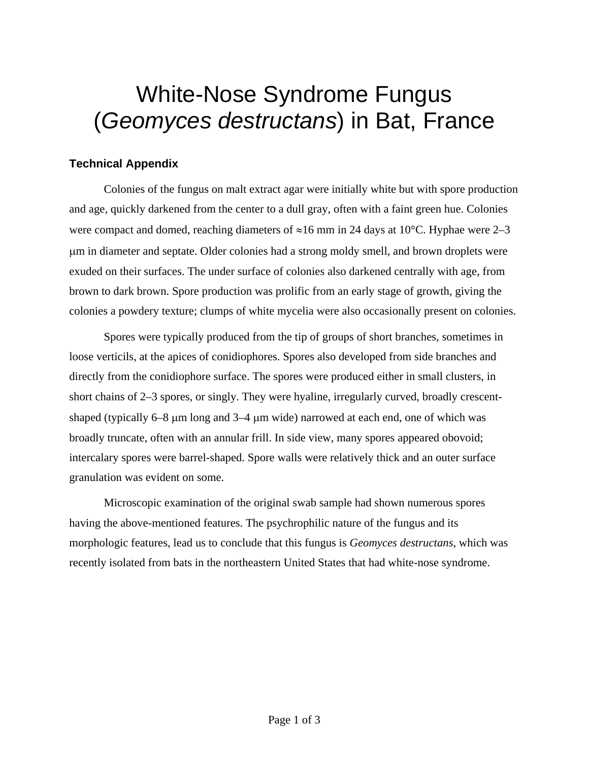# White-Nose Syndrome Fungus (*Geomyces destructans*) in Bat, France

## **Technical Appendix**

Colonies of the fungus on malt extract agar were initially white but with spore production and age, quickly darkened from the center to a dull gray, often with a faint green hue. Colonies were compact and domed, reaching diameters of  $\approx$ 16 mm in 24 days at 10°C. Hyphae were 2–3 μm in diameter and septate. Older colonies had a strong moldy smell, and brown droplets were exuded on their surfaces. The under surface of colonies also darkened centrally with age, from brown to dark brown. Spore production was prolific from an early stage of growth, giving the colonies a powdery texture; clumps of white mycelia were also occasionally present on colonies.

Spores were typically produced from the tip of groups of short branches, sometimes in loose verticils, at the apices of conidiophores. Spores also developed from side branches and directly from the conidiophore surface. The spores were produced either in small clusters, in short chains of 2–3 spores, or singly. They were hyaline, irregularly curved, broadly crescentshaped (typically 6–8 μm long and 3–4 μm wide) narrowed at each end, one of which was broadly truncate, often with an annular frill. In side view, many spores appeared obovoid; intercalary spores were barrel-shaped. Spore walls were relatively thick and an outer surface granulation was evident on some.

Microscopic examination of the original swab sample had shown numerous spores having the above-mentioned features. The psychrophilic nature of the fungus and its morphologic features, lead us to conclude that this fungus is *Geomyces destructans*, which was recently isolated from bats in the northeastern United States that had white-nose syndrome.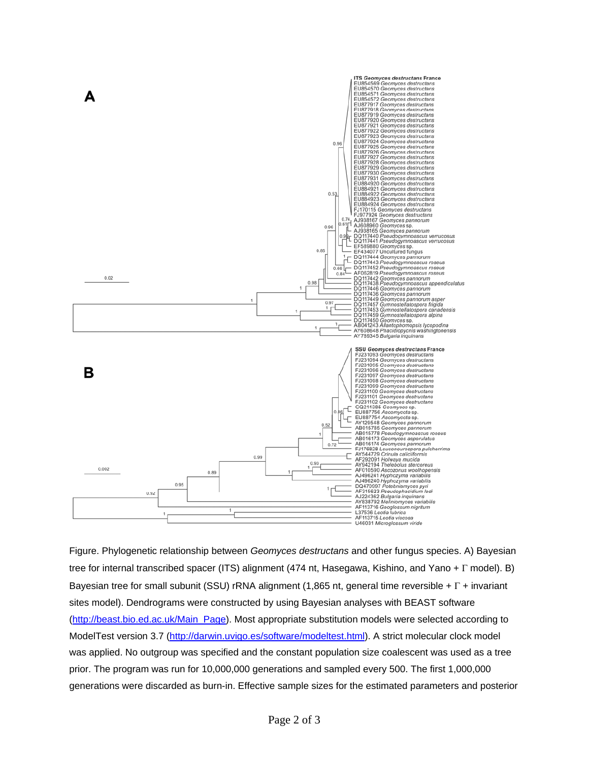

Figure. Phylogenetic relationship between *Geomyces destructans* and other fungus species. A) Bayesian tree for internal transcribed spacer (ITS) alignment (474 nt, Hasegawa, Kishino, and Yano + Γ model). B) Bayesian tree for small subunit (SSU) rRNA alignment (1,865 nt, general time reversible + Γ + invariant sites model). Dendrograms were constructed by using Bayesian analyses with BEAST software [\(http://beast.bio.ed.ac.uk/Main\\_Page\)](http://beast.bio.ed.ac.uk/Main_Page). Most appropriate substitution models were selected according to ModelTest version 3.7 [\(http://darwin.uvigo.es/software/modeltest.html](http://darwin.uvigo.es/software/modeltest.html)). A strict molecular clock model was applied. No outgroup was specified and the constant population size coalescent was used as a tree prior. The program was run for 10,000,000 generations and sampled every 500. The first 1,000,000 generations were discarded as burn-in. Effective sample sizes for the estimated parameters and posterior